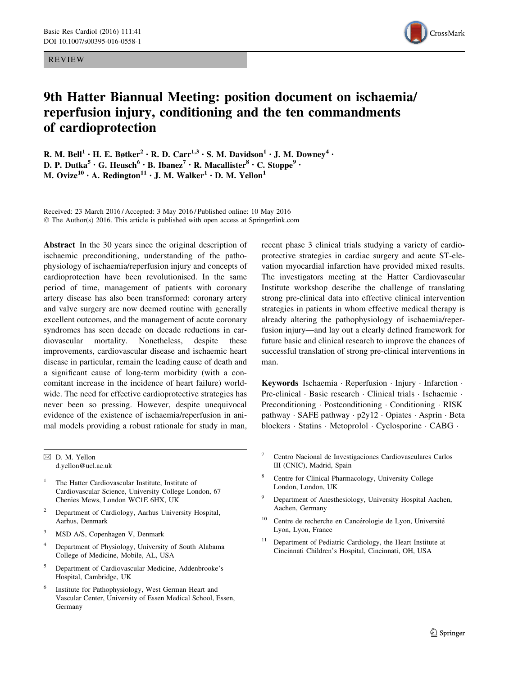REVIEW



# 9th Hatter Biannual Meeting: position document on ischaemia/ reperfusion injury, conditioning and the ten commandments of cardioprotection

R. M. Bell<sup>1</sup> · H. E. Bøtker<sup>2</sup> · R. D. Carr<sup>1,3</sup> · S. M. Davidson<sup>1</sup> · J. M. Downey<sup>4</sup> · D. P. Dutka<sup>5</sup> · G. Heusch<sup>6</sup> · B. Ibanez<sup>7</sup> · R. Macallister<sup>8</sup> · C. Stoppe<sup>9</sup> · M. Ovize<sup>10</sup> · A. Redington<sup>11</sup> · J. M. Walker<sup>1</sup> · D. M. Yellon<sup>1</sup>

Received: 23 March 2016 / Accepted: 3 May 2016 / Published online: 10 May 2016 © The Author(s) 2016. This article is published with open access at Springerlink.com

Abstract In the 30 years since the original description of ischaemic preconditioning, understanding of the pathophysiology of ischaemia/reperfusion injury and concepts of cardioprotection have been revolutionised. In the same period of time, management of patients with coronary artery disease has also been transformed: coronary artery and valve surgery are now deemed routine with generally excellent outcomes, and the management of acute coronary syndromes has seen decade on decade reductions in cardiovascular mortality. Nonetheless, despite these improvements, cardiovascular disease and ischaemic heart disease in particular, remain the leading cause of death and a significant cause of long-term morbidity (with a concomitant increase in the incidence of heart failure) worldwide. The need for effective cardioprotective strategies has never been so pressing. However, despite unequivocal evidence of the existence of ischaemia/reperfusion in animal models providing a robust rationale for study in man, recent phase 3 clinical trials studying a variety of cardioprotective strategies in cardiac surgery and acute ST-elevation myocardial infarction have provided mixed results. The investigators meeting at the Hatter Cardiovascular Institute workshop describe the challenge of translating strong pre-clinical data into effective clinical intervention strategies in patients in whom effective medical therapy is already altering the pathophysiology of ischaemia/reperfusion injury—and lay out a clearly defined framework for future basic and clinical research to improve the chances of successful translation of strong pre-clinical interventions in man.

Keywords Ischaemia - Reperfusion - Injury - Infarction - Pre-clinical · Basic research · Clinical trials · Ischaemic · Preconditioning · Postconditioning · Conditioning · RISK pathway · SAFE pathway · p2y12 · Opiates · Asprin · Beta blockers · Statins · Metoprolol · Cyclosporine · CABG ·

 $\boxtimes$  D. M. Yellon d.yellon@ucl.ac.uk

- The Hatter Cardiovascular Institute, Institute of Cardiovascular Science, University College London, 67 Chenies Mews, London WC1E 6HX, UK
- <sup>2</sup> Department of Cardiology, Aarhus University Hospital, Aarhus, Denmark
- <sup>3</sup> MSD A/S, Copenhagen V, Denmark
- <sup>4</sup> Department of Physiology, University of South Alabama College of Medicine, Mobile, AL, USA
- <sup>5</sup> Department of Cardiovascular Medicine, Addenbrooke's Hospital, Cambridge, UK
- Institute for Pathophysiology, West German Heart and Vascular Center, University of Essen Medical School, Essen, Germany
- <sup>7</sup> Centro Nacional de Investigaciones Cardiovasculares Carlos III (CNIC), Madrid, Spain
- Centre for Clinical Pharmacology, University College London, London, UK
- <sup>9</sup> Department of Anesthesiology, University Hospital Aachen, Aachen, Germany
- $10$  Centre de recherche en Cancérologie de Lyon, Université Lyon, Lyon, France
- <sup>11</sup> Department of Pediatric Cardiology, the Heart Institute at Cincinnati Children's Hospital, Cincinnati, OH, USA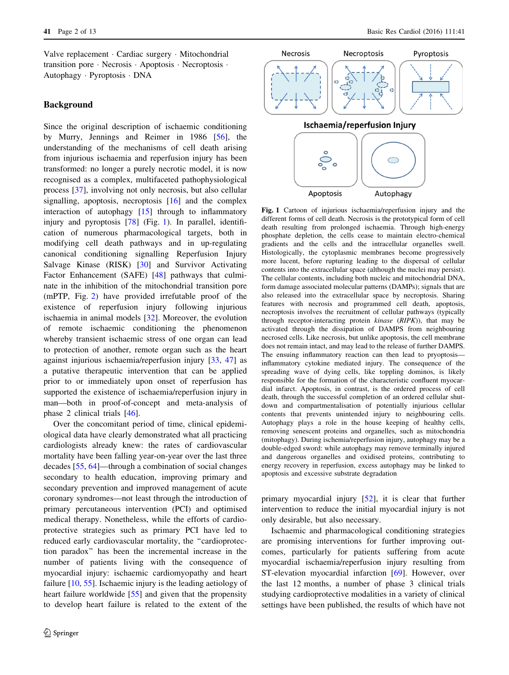Valve replacement - Cardiac surgery - Mitochondrial transition pore - Necrosis - Apoptosis - Necroptosis - Autophagy - Pyroptosis - DNA

## Background

Since the original description of ischaemic conditioning by Murry, Jennings and Reimer in 1986 [\[56](#page-11-0)], the understanding of the mechanisms of cell death arising from injurious ischaemia and reperfusion injury has been transformed: no longer a purely necrotic model, it is now recognised as a complex, multifaceted pathophysiological process [[37\]](#page-10-0), involving not only necrosis, but also cellular signalling, apoptosis, necroptosis [\[16](#page-9-0)] and the complex interaction of autophagy  $[15]$  $[15]$  through to inflammatory injury and pyroptosis [[78\]](#page-12-0) (Fig. 1). In parallel, identification of numerous pharmacological targets, both in modifying cell death pathways and in up-regulating canonical conditioning signalling Reperfusion Injury Salvage Kinase (RISK) [[30\]](#page-10-0) and Survivor Activating Factor Enhancement (SAFE) [\[48](#page-11-0)] pathways that culminate in the inhibition of the mitochondrial transition pore (mPTP, Fig. [2\)](#page-2-0) have provided irrefutable proof of the existence of reperfusion injury following injurious ischaemia in animal models [[32\]](#page-10-0). Moreover, the evolution of remote ischaemic conditioning the phenomenon whereby transient ischaemic stress of one organ can lead to protection of another, remote organ such as the heart against injurious ischaemia/reperfusion injury [[33,](#page-10-0) [47](#page-11-0)] as a putative therapeutic intervention that can be applied prior to or immediately upon onset of reperfusion has supported the existence of ischaemia/reperfusion injury in man—both in proof-of-concept and meta-analysis of phase 2 clinical trials [[46\]](#page-11-0).

Over the concomitant period of time, clinical epidemiological data have clearly demonstrated what all practicing cardiologists already knew: the rates of cardiovascular mortality have been falling year-on-year over the last three decades [[55,](#page-11-0) [64\]](#page-11-0)—through a combination of social changes secondary to health education, improving primary and secondary prevention and improved management of acute coronary syndromes—not least through the introduction of primary percutaneous intervention (PCI) and optimised medical therapy. Nonetheless, while the efforts of cardioprotective strategies such as primary PCI have led to reduced early cardiovascular mortality, the ''cardioprotection paradox'' has been the incremental increase in the number of patients living with the consequence of myocardial injury: ischaemic cardiomyopathy and heart failure [[10,](#page-9-0) [55\]](#page-11-0). Ischaemic injury is the leading aetiology of heart failure worldwide [\[55](#page-11-0)] and given that the propensity to develop heart failure is related to the extent of the



Fig. 1 Cartoon of injurious ischaemia/reperfusion injury and the different forms of cell death. Necrosis is the prototypical form of cell death resulting from prolonged ischaemia. Through high-energy phosphate depletion, the cells cease to maintain electro-chemical gradients and the cells and the intracellular organelles swell. Histologically, the cytoplasmic membranes become progressively more lucent, before rupturing leading to the dispersal of cellular contents into the extracellular space (although the nuclei may persist). The cellular contents, including both nucleic and mitochondrial DNA, form damage associated molecular patterns (DAMPs); signals that are also released into the extracellular space by necroptosis. Sharing features with necrosis and programmed cell death, apoptosis, necroptosis involves the recruitment of cellular pathways (typically through receptor-interacting protein kinase (RIPK)), that may be activated through the dissipation of DAMPS from neighbouring necrosed cells. Like necrosis, but unlike apoptosis, the cell membrane does not remain intact, and may lead to the release of further DAMPS. The ensuing inflammatory reaction can then lead to pryoptosis inflammatory cytokine mediated injury. The consequence of the spreading wave of dying cells, like toppling dominos, is likely responsible for the formation of the characteristic confluent myocardial infarct. Apoptosis, in contrast, is the ordered process of cell death, through the successful completion of an ordered cellular shutdown and compartmentalisation of potentially injurious cellular contents that prevents unintended injury to neighbouring cells. Autophagy plays a role in the house keeping of healthy cells, removing senescent proteins and organelles, such as mitochondria (mitophagy). During ischemia/reperfusion injury, autophagy may be a double-edged sword: while autophagy may remove terminally injured and dangerous organelles and oxidised proteins, contributing to energy recovery in reperfusion, excess autophagy may be linked to apoptosis and excessive substrate degradation

primary myocardial injury [[52\]](#page-11-0), it is clear that further intervention to reduce the initial myocardial injury is not only desirable, but also necessary.

Ischaemic and pharmacological conditioning strategies are promising interventions for further improving outcomes, particularly for patients suffering from acute myocardial ischaemia/reperfusion injury resulting from ST-elevation myocardial infarction [\[69](#page-11-0)]. However, over the last 12 months, a number of phase 3 clinical trials studying cardioprotective modalities in a variety of clinical settings have been published, the results of which have not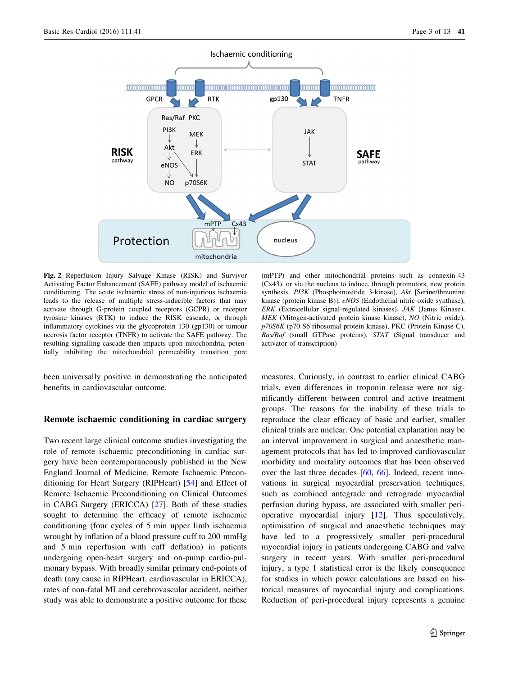<span id="page-2-0"></span>

Fig. 2 Reperfusion Injury Salvage Kinase (RISK) and Survivor Activating Factor Enhancement (SAFE) pathway model of ischaemic conditioning. The acute ischaemic stress of non-injurious ischaemia leads to the release of multiple stress-inducible factors that may activate through G-protein coupled receptors (GCPR) or receptor tyrosine kinases (RTK) to induce the RISK cascade, or through inflammatory cytokines via the glycoprotein 130 (gp130) or tumour necrosis factor receptor (TNFR) to activate the SAFE pathway. The resulting signalling cascade then impacts upon mitochondria, potentially inhibiting the mitochondrial permeability transition pore

been universally positive in demonstrating the anticipated benefits in cardiovascular outcome.

# Remote ischaemic conditioning in cardiac surgery

Two recent large clinical outcome studies investigating the role of remote ischaemic preconditioning in cardiac surgery have been contemporaneously published in the New England Journal of Medicine. Remote Ischaemic Preconditioning for Heart Surgery (RIPHeart) [[54\]](#page-11-0) and Effect of Remote Ischaemic Preconditioning on Clinical Outcomes in CABG Surgery (ERICCA) [[27\]](#page-10-0). Both of these studies sought to determine the efficacy of remote ischaemic conditioning (four cycles of 5 min upper limb ischaemia wrought by inflation of a blood pressure cuff to 200 mmHg and 5 min reperfusion with cuff deflation) in patients undergoing open-heart surgery and on-pump cardio-pulmonary bypass. With broadly similar primary end-points of death (any cause in RIPHeart, cardiovascular in ERICCA), rates of non-fatal MI and cerebrovascular accident, neither study was able to demonstrate a positive outcome for these

(mPTP) and other mitochondrial proteins such as connexin-43 (Cx43), or via the nucleus to induce, through promotors, new protein synthesis. PI3K (Phosphoinositide 3-kinase), Akt [Serine/threonine kinase (protein kinase B)], eNOS (Endothelial nitric oxide synthase), ERK (Extracellular signal-regulated kinases), JAK (Janus Kinase), MEK (Mitogen-activated protein kinase kinase), NO (Nitric oxide), p70S6K (p70 S6 ribosomal protein kinase), PKC (Protein Kinase C), Ras/Raf (small GTPase proteins), STAT (Signal transducer and activator of transcription)

measures. Curiously, in contrast to earlier clinical CABG trials, even differences in troponin release were not significantly different between control and active treatment groups. The reasons for the inability of these trials to reproduce the clear efficacy of basic and earlier, smaller clinical trials are unclear. One potential explanation may be an interval improvement in surgical and anaesthetic management protocols that has led to improved cardiovascular morbidity and mortality outcomes that has been observed over the last three decades [[60,](#page-11-0) [66](#page-11-0)]. Indeed, recent innovations in surgical myocardial preservation techniques, such as combined antegrade and retrograde myocardial perfusion during bypass, are associated with smaller perioperative myocardial injury [\[12](#page-9-0)]. Thus speculatively, optimisation of surgical and anaesthetic techniques may have led to a progressively smaller peri-procedural myocardial injury in patients undergoing CABG and valve surgery in recent years. With smaller peri-procedural injury, a type 1 statistical error is the likely consequence for studies in which power calculations are based on historical measures of myocardial injury and complications. Reduction of peri-procedural injury represents a genuine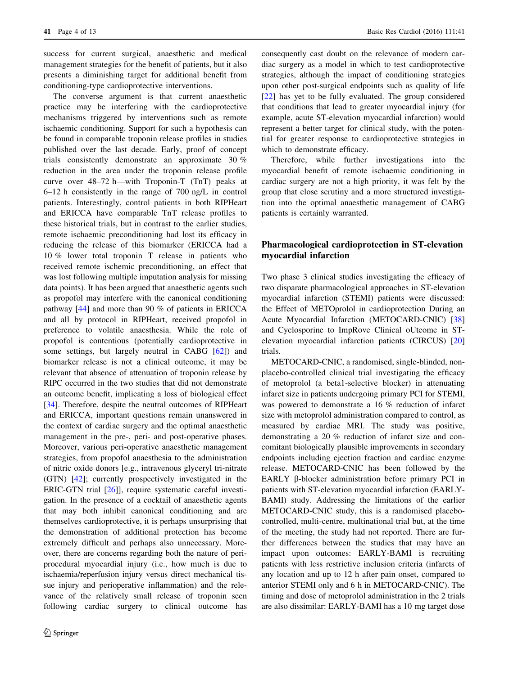success for current surgical, anaesthetic and medical management strategies for the benefit of patients, but it also presents a diminishing target for additional benefit from conditioning-type cardioprotective interventions.

The converse argument is that current anaesthetic practice may be interfering with the cardioprotective mechanisms triggered by interventions such as remote ischaemic conditioning. Support for such a hypothesis can be found in comparable troponin release profiles in studies published over the last decade. Early, proof of concept trials consistently demonstrate an approximate 30 % reduction in the area under the troponin release profile curve over 48–72 h—with Troponin-T (TnT) peaks at 6–12 h consistently in the range of 700 ng/L in control patients. Interestingly, control patients in both RIPHeart and ERICCA have comparable TnT release profiles to these historical trials, but in contrast to the earlier studies, remote ischaemic preconditioning had lost its efficacy in reducing the release of this biomarker (ERICCA had a 10 % lower total troponin T release in patients who received remote ischemic preconditioning, an effect that was lost following multiple imputation analysis for missing data points). It has been argued that anaesthetic agents such as propofol may interfere with the canonical conditioning pathway [[44\]](#page-10-0) and more than 90 % of patients in ERICCA and all by protocol in RIPHeart, received propofol in preference to volatile anaesthesia. While the role of propofol is contentious (potentially cardioprotective in some settings, but largely neutral in CABG [\[62](#page-11-0)]) and biomarker release is not a clinical outcome, it may be relevant that absence of attenuation of troponin release by RIPC occurred in the two studies that did not demonstrate an outcome benefit, implicating a loss of biological effect [\[34](#page-10-0)]. Therefore, despite the neutral outcomes of RIPHeart and ERICCA, important questions remain unanswered in the context of cardiac surgery and the optimal anaesthetic management in the pre-, peri- and post-operative phases. Moreover, various peri-operative anaesthetic management strategies, from propofol anaesthesia to the administration of nitric oxide donors [e.g., intravenous glyceryl tri-nitrate (GTN) [[42\]](#page-10-0); currently prospectively investigated in the ERIC-GTN trial [\[26](#page-10-0)]], require systematic careful investigation. In the presence of a cocktail of anaesthetic agents that may both inhibit canonical conditioning and are themselves cardioprotective, it is perhaps unsurprising that the demonstration of additional protection has become extremely difficult and perhaps also unnecessary. Moreover, there are concerns regarding both the nature of periprocedural myocardial injury (i.e., how much is due to ischaemia/reperfusion injury versus direct mechanical tissue injury and perioperative inflammation) and the relevance of the relatively small release of troponin seen following cardiac surgery to clinical outcome has consequently cast doubt on the relevance of modern cardiac surgery as a model in which to test cardioprotective strategies, although the impact of conditioning strategies upon other post-surgical endpoints such as quality of life [\[22](#page-10-0)] has yet to be fully evaluated. The group considered that conditions that lead to greater myocardial injury (for example, acute ST-elevation myocardial infarction) would represent a better target for clinical study, with the potential for greater response to cardioprotective strategies in which to demonstrate efficacy.

Therefore, while further investigations into the myocardial benefit of remote ischaemic conditioning in cardiac surgery are not a high priority, it was felt by the group that close scrutiny and a more structured investigation into the optimal anaesthetic management of CABG patients is certainly warranted.

# Pharmacological cardioprotection in ST-elevation myocardial infarction

Two phase 3 clinical studies investigating the efficacy of two disparate pharmacological approaches in ST-elevation myocardial infarction (STEMI) patients were discussed: the Effect of METOprolol in cardioprotection During an Acute Myocardial Infarction (METOCARD-CNIC) [[38\]](#page-10-0) and Cyclosporine to ImpRove Clinical oUtcome in STelevation myocardial infarction patients (CIRCUS) [[20\]](#page-9-0) trials.

METOCARD-CNIC, a randomised, single-blinded, nonplacebo-controlled clinical trial investigating the efficacy of metoprolol (a beta1-selective blocker) in attenuating infarct size in patients undergoing primary PCI for STEMI, was powered to demonstrate a 16 % reduction of infarct size with metoprolol administration compared to control, as measured by cardiac MRI. The study was positive, demonstrating a 20 % reduction of infarct size and concomitant biologically plausible improvements in secondary endpoints including ejection fraction and cardiac enzyme release. METOCARD-CNIC has been followed by the EARLY  $\beta$ -blocker administration before primary PCI in patients with ST-elevation myocardial infarction (EARLY-BAMI) study. Addressing the limitations of the earlier METOCARD-CNIC study, this is a randomised placebocontrolled, multi-centre, multinational trial but, at the time of the meeting, the study had not reported. There are further differences between the studies that may have an impact upon outcomes: EARLY-BAMI is recruiting patients with less restrictive inclusion criteria (infarcts of any location and up to 12 h after pain onset, compared to anterior STEMI only and 6 h in METOCARD-CNIC). The timing and dose of metoprolol administration in the 2 trials are also dissimilar: EARLY-BAMI has a 10 mg target dose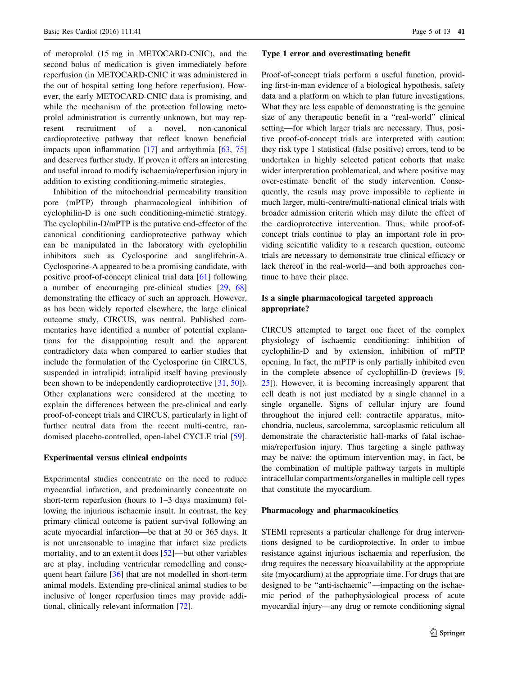of metoprolol (15 mg in METOCARD-CNIC), and the second bolus of medication is given immediately before reperfusion (in METOCARD-CNIC it was administered in the out of hospital setting long before reperfusion). However, the early METOCARD-CNIC data is promising, and while the mechanism of the protection following metoprolol administration is currently unknown, but may represent recruitment of a novel, non-canonical cardioprotective pathway that reflect known beneficial impacts upon inflammation  $[17]$  $[17]$  and arrhythmia  $[63, 75]$  $[63, 75]$  $[63, 75]$ and deserves further study. If proven it offers an interesting and useful inroad to modify ischaemia/reperfusion injury in addition to existing conditioning-mimetic strategies.

Inhibition of the mitochondrial permeability transition pore (mPTP) through pharmacological inhibition of cyclophilin-D is one such conditioning-mimetic strategy. The cyclophilin-D/mPTP is the putative end-effector of the canonical conditioning cardioprotective pathway which can be manipulated in the laboratory with cyclophilin inhibitors such as Cyclosporine and sanglifehrin-A. Cyclosporine-A appeared to be a promising candidate, with positive proof-of-concept clinical trial data [[61](#page-11-0)] following a number of encouraging pre-clinical studies [\[29](#page-10-0), [68\]](#page-11-0) demonstrating the efficacy of such an approach. However, as has been widely reported elsewhere, the large clinical outcome study, CIRCUS, was neutral. Published commentaries have identified a number of potential explanations for the disappointing result and the apparent contradictory data when compared to earlier studies that include the formulation of the Cyclosporine (in CIRCUS, suspended in intralipid; intralipid itself having previously been shown to be independently cardioprotective [[31,](#page-10-0) [50](#page-11-0)]). Other explanations were considered at the meeting to explain the differences between the pre-clinical and early proof-of-concept trials and CIRCUS, particularly in light of further neutral data from the recent multi-centre, randomised placebo-controlled, open-label CYCLE trial [\[59](#page-11-0)].

#### Experimental versus clinical endpoints

Experimental studies concentrate on the need to reduce myocardial infarction, and predominantly concentrate on short-term reperfusion (hours to 1–3 days maximum) following the injurious ischaemic insult. In contrast, the key primary clinical outcome is patient survival following an acute myocardial infarction—be that at 30 or 365 days. It is not unreasonable to imagine that infarct size predicts mortality, and to an extent it does [\[52](#page-11-0)]—but other variables are at play, including ventricular remodelling and consequent heart failure [[36\]](#page-10-0) that are not modelled in short-term animal models. Extending pre-clinical animal studies to be inclusive of longer reperfusion times may provide additional, clinically relevant information [\[72](#page-12-0)].

#### Type 1 error and overestimating benefit

Proof-of-concept trials perform a useful function, providing first-in-man evidence of a biological hypothesis, safety data and a platform on which to plan future investigations. What they are less capable of demonstrating is the genuine size of any therapeutic benefit in a ''real-world'' clinical setting—for which larger trials are necessary. Thus, positive proof-of-concept trials are interpreted with caution: they risk type 1 statistical (false positive) errors, tend to be undertaken in highly selected patient cohorts that make wider interpretation problematical, and where positive may over-estimate benefit of the study intervention. Consequently, the resuls may prove impossible to replicate in much larger, multi-centre/multi-national clinical trials with broader admission criteria which may dilute the effect of the cardioprotective intervention. Thus, while proof-ofconcept trials continue to play an important role in providing scientific validity to a research question, outcome trials are necessary to demonstrate true clinical efficacy or lack thereof in the real-world—and both approaches continue to have their place.

# Is a single pharmacological targeted approach appropriate?

CIRCUS attempted to target one facet of the complex physiology of ischaemic conditioning: inhibition of cyclophilin-D and by extension, inhibition of mPTP opening. In fact, the mPTP is only partially inhibited even in the complete absence of cyclophillin-D (reviews [[9,](#page-9-0) [25](#page-10-0)]). However, it is becoming increasingly apparent that cell death is not just mediated by a single channel in a single organelle. Signs of cellular injury are found throughout the injured cell: contractile apparatus, mitochondria, nucleus, sarcolemma, sarcoplasmic reticulum all demonstrate the characteristic hall-marks of fatal ischaemia/reperfusion injury. Thus targeting a single pathway may be naïve: the optimum intervention may, in fact, be the combination of multiple pathway targets in multiple intracellular compartments/organelles in multiple cell types that constitute the myocardium.

#### Pharmacology and pharmacokinetics

STEMI represents a particular challenge for drug interventions designed to be cardioprotective. In order to imbue resistance against injurious ischaemia and reperfusion, the drug requires the necessary bioavailability at the appropriate site (myocardium) at the appropriate time. For drugs that are designed to be ''anti-ischaemic''—impacting on the ischaemic period of the pathophysiological process of acute myocardial injury—any drug or remote conditioning signal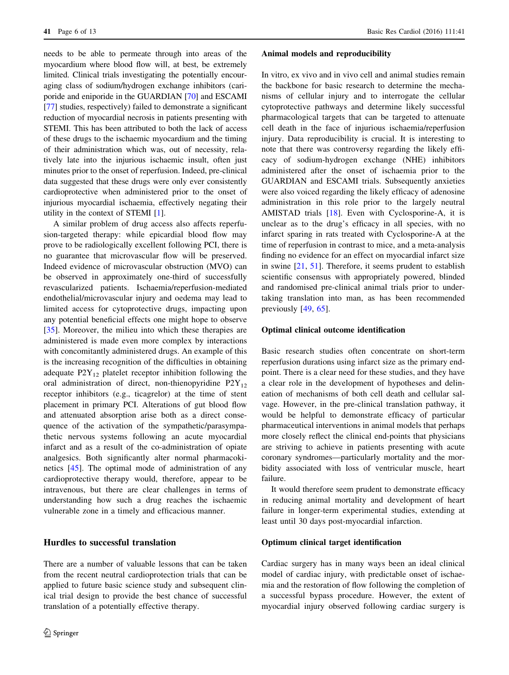needs to be able to permeate through into areas of the myocardium where blood flow will, at best, be extremely limited. Clinical trials investigating the potentially encouraging class of sodium/hydrogen exchange inhibitors (cariporide and eniporide in the GUARDIAN [\[70\]](#page-12-0) and ESCAMI [\[77](#page-12-0)] studies, respectively) failed to demonstrate a significant reduction of myocardial necrosis in patients presenting with STEMI. This has been attributed to both the lack of access of these drugs to the ischaemic myocardium and the timing of their administration which was, out of necessity, relatively late into the injurious ischaemic insult, often just minutes prior to the onset of reperfusion. Indeed, pre-clinical data suggested that these drugs were only ever consistently cardioprotective when administered prior to the onset of injurious myocardial ischaemia, effectively negating their utility in the context of STEMI [\[1](#page-9-0)].

A similar problem of drug access also affects reperfusion-targeted therapy: while epicardial blood flow may prove to be radiologically excellent following PCI, there is no guarantee that microvascular flow will be preserved. Indeed evidence of microvascular obstruction (MVO) can be observed in approximately one-third of successfully revascularized patients. Ischaemia/reperfusion-mediated endothelial/microvascular injury and oedema may lead to limited access for cytoprotective drugs, impacting upon any potential beneficial effects one might hope to observe [\[35](#page-10-0)]. Moreover, the milieu into which these therapies are administered is made even more complex by interactions with concomitantly administered drugs. An example of this is the increasing recognition of the difficulties in obtaining adequate  $P2Y_{12}$  platelet receptor inhibition following the oral administration of direct, non-thienopyridine  $P2Y_{12}$ receptor inhibitors (e.g., ticagrelor) at the time of stent placement in primary PCI. Alterations of gut blood flow and attenuated absorption arise both as a direct consequence of the activation of the sympathetic/parasympathetic nervous systems following an acute myocardial infarct and as a result of the co-administration of opiate analgesics. Both significantly alter normal pharmacokinetics [\[45](#page-10-0)]. The optimal mode of administration of any cardioprotective therapy would, therefore, appear to be intravenous, but there are clear challenges in terms of understanding how such a drug reaches the ischaemic vulnerable zone in a timely and efficacious manner.

## Hurdles to successful translation

There are a number of valuable lessons that can be taken from the recent neutral cardioprotection trials that can be applied to future basic science study and subsequent clinical trial design to provide the best chance of successful translation of a potentially effective therapy.

#### Animal models and reproducibility

In vitro, ex vivo and in vivo cell and animal studies remain the backbone for basic research to determine the mechanisms of cellular injury and to interrogate the cellular cytoprotective pathways and determine likely successful pharmacological targets that can be targeted to attenuate cell death in the face of injurious ischaemia/reperfusion injury. Data reproducibility is crucial. It is interesting to note that there was controversy regarding the likely efficacy of sodium-hydrogen exchange (NHE) inhibitors administered after the onset of ischaemia prior to the GUARDIAN and ESCAMI trials. Subsequently anxieties were also voiced regarding the likely efficacy of adenosine administration in this role prior to the largely neutral AMISTAD trials [\[18](#page-9-0)]. Even with Cyclosporine-A, it is unclear as to the drug's efficacy in all species, with no infarct sparing in rats treated with Cyclosporine-A at the time of reperfusion in contrast to mice, and a meta-analysis finding no evidence for an effect on myocardial infarct size in swine [\[21](#page-10-0), [51\]](#page-11-0). Therefore, it seems prudent to establish scientific consensus with appropriately powered, blinded and randomised pre-clinical animal trials prior to undertaking translation into man, as has been recommended previously [[49,](#page-11-0) [65\]](#page-11-0).

## Optimal clinical outcome identification

Basic research studies often concentrate on short-term reperfusion durations using infarct size as the primary endpoint. There is a clear need for these studies, and they have a clear role in the development of hypotheses and delineation of mechanisms of both cell death and cellular salvage. However, in the pre-clinical translation pathway, it would be helpful to demonstrate efficacy of particular pharmaceutical interventions in animal models that perhaps more closely reflect the clinical end-points that physicians are striving to achieve in patients presenting with acute coronary syndromes—particularly mortality and the morbidity associated with loss of ventricular muscle, heart failure.

It would therefore seem prudent to demonstrate efficacy in reducing animal mortality and development of heart failure in longer-term experimental studies, extending at least until 30 days post-myocardial infarction.

## Optimum clinical target identification

Cardiac surgery has in many ways been an ideal clinical model of cardiac injury, with predictable onset of ischaemia and the restoration of flow following the completion of a successful bypass procedure. However, the extent of myocardial injury observed following cardiac surgery is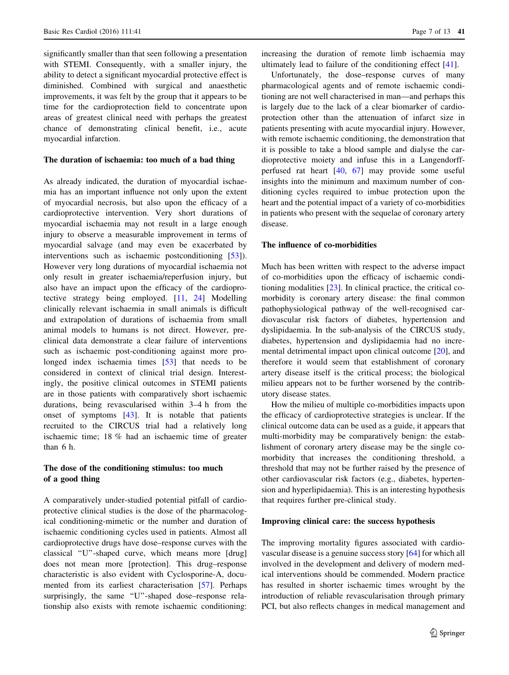significantly smaller than that seen following a presentation with STEMI. Consequently, with a smaller injury, the ability to detect a significant myocardial protective effect is diminished. Combined with surgical and anaesthetic improvements, it was felt by the group that it appears to be time for the cardioprotection field to concentrate upon areas of greatest clinical need with perhaps the greatest chance of demonstrating clinical benefit, i.e., acute myocardial infarction.

## The duration of ischaemia: too much of a bad thing

As already indicated, the duration of myocardial ischaemia has an important influence not only upon the extent of myocardial necrosis, but also upon the efficacy of a cardioprotective intervention. Very short durations of myocardial ischaemia may not result in a large enough injury to observe a measurable improvement in terms of myocardial salvage (and may even be exacerbated by interventions such as ischaemic postconditioning [[53](#page-11-0)]). However very long durations of myocardial ischaemia not only result in greater ischaemia/reperfusion injury, but also have an impact upon the efficacy of the cardioprotective strategy being employed. [[11,](#page-9-0) [24\]](#page-10-0) Modelling clinically relevant ischaemia in small animals is difficult and extrapolation of durations of ischaemia from small animal models to humans is not direct. However, preclinical data demonstrate a clear failure of interventions such as ischaemic post-conditioning against more pro-longed index ischaemia times [\[53](#page-11-0)] that needs to be considered in context of clinical trial design. Interestingly, the positive clinical outcomes in STEMI patients are in those patients with comparatively short ischaemic durations, being revascularised within 3–4 h from the onset of symptoms [\[43](#page-10-0)]. It is notable that patients recruited to the CIRCUS trial had a relatively long ischaemic time; 18 % had an ischaemic time of greater than 6 h.

# The dose of the conditioning stimulus: too much of a good thing

A comparatively under-studied potential pitfall of cardioprotective clinical studies is the dose of the pharmacological conditioning-mimetic or the number and duration of ischaemic conditioning cycles used in patients. Almost all cardioprotective drugs have dose–response curves with the classical ''U''-shaped curve, which means more [drug] does not mean more [protection]. This drug–response characteristic is also evident with Cyclosporine-A, documented from its earliest characterisation [[57\]](#page-11-0). Perhaps surprisingly, the same "U"-shaped dose-response relationship also exists with remote ischaemic conditioning:

increasing the duration of remote limb ischaemia may ultimately lead to failure of the conditioning effect [[41\]](#page-10-0).

Unfortunately, the dose–response curves of many pharmacological agents and of remote ischaemic conditioning are not well characterised in man—and perhaps this is largely due to the lack of a clear biomarker of cardioprotection other than the attenuation of infarct size in patients presenting with acute myocardial injury. However, with remote ischaemic conditioning, the demonstration that it is possible to take a blood sample and dialyse the cardioprotective moiety and infuse this in a Langendorffperfused rat heart [[40](#page-10-0), [67](#page-11-0)] may provide some useful insights into the minimum and maximum number of conditioning cycles required to imbue protection upon the heart and the potential impact of a variety of co-morbidities in patients who present with the sequelae of coronary artery disease.

#### The influence of co-morbidities

Much has been written with respect to the adverse impact of co-morbidities upon the efficacy of ischaemic conditioning modalities [[23](#page-10-0)]. In clinical practice, the critical comorbidity is coronary artery disease: the final common pathophysiological pathway of the well-recognised cardiovascular risk factors of diabetes, hypertension and dyslipidaemia. In the sub-analysis of the CIRCUS study, diabetes, hypertension and dyslipidaemia had no incremental detrimental impact upon clinical outcome [\[20](#page-9-0)], and therefore it would seem that establishment of coronary artery disease itself is the critical process; the biological milieu appears not to be further worsened by the contributory disease states.

How the milieu of multiple co-morbidities impacts upon the efficacy of cardioprotective strategies is unclear. If the clinical outcome data can be used as a guide, it appears that multi-morbidity may be comparatively benign: the establishment of coronary artery disease may be the single comorbidity that increases the conditioning threshold, a threshold that may not be further raised by the presence of other cardiovascular risk factors (e.g., diabetes, hypertension and hyperlipidaemia). This is an interesting hypothesis that requires further pre-clinical study.

## Improving clinical care: the success hypothesis

The improving mortality figures associated with cardiovascular disease is a genuine success story [[64\]](#page-11-0) for which all involved in the development and delivery of modern medical interventions should be commended. Modern practice has resulted in shorter ischaemic times wrought by the introduction of reliable revascularisation through primary PCI, but also reflects changes in medical management and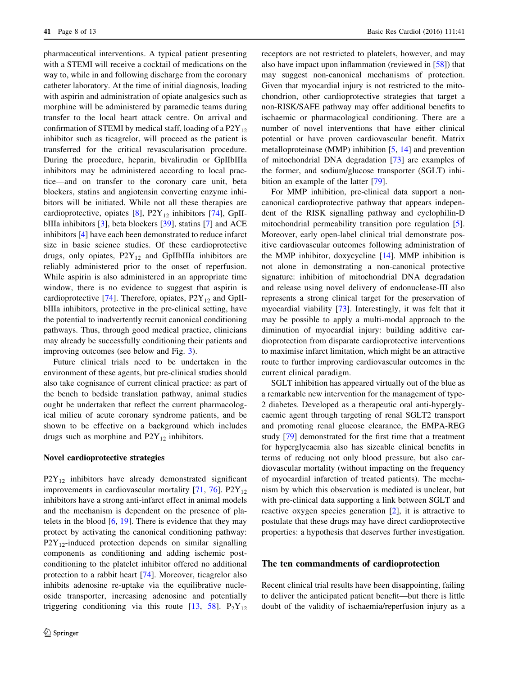pharmaceutical interventions. A typical patient presenting with a STEMI will receive a cocktail of medications on the way to, while in and following discharge from the coronary catheter laboratory. At the time of initial diagnosis, loading with aspirin and administration of opiate analgesics such as morphine will be administered by paramedic teams during transfer to the local heart attack centre. On arrival and confirmation of STEMI by medical staff, loading of a  $P2Y_{12}$ inhibitor such as ticagrelor, will proceed as the patient is transferred for the critical revascularisation procedure. During the procedure, heparin, bivalirudin or GpIIbIIIa inhibitors may be administered according to local practice—and on transfer to the coronary care unit, beta blockers, statins and angiotensin converting enzyme inhibitors will be initiated. While not all these therapies are cardioprotective, opiates  $[8]$  $[8]$ ,  $P2Y_{12}$  inhibitors  $[74]$  $[74]$ , GpIIbIIIa inhibitors [[3\]](#page-9-0), beta blockers [[39\]](#page-10-0), statins [[7\]](#page-9-0) and ACE inhibitors [[4\]](#page-9-0) have each been demonstrated to reduce infarct size in basic science studies. Of these cardioprotective drugs, only opiates,  $P2Y_{12}$  and GpIIbIIIa inhibitors are reliably administered prior to the onset of reperfusion. While aspirin is also administered in an appropriate time window, there is no evidence to suggest that aspirin is cardioprotective [[74\]](#page-12-0). Therefore, opiates,  $P2Y_{12}$  and GpIIbIIIa inhibitors, protective in the pre-clinical setting, have the potential to inadvertently recruit canonical conditioning pathways. Thus, through good medical practice, clinicians may already be successfully conditioning their patients and improving outcomes (see below and Fig. [3](#page-8-0)).

Future clinical trials need to be undertaken in the environment of these agents, but pre-clinical studies should also take cognisance of current clinical practice: as part of the bench to bedside translation pathway, animal studies ought be undertaken that reflect the current pharmacological milieu of acute coronary syndrome patients, and be shown to be effective on a background which includes drugs such as morphine and  $P2Y_{12}$  inhibitors.

#### Novel cardioprotective strategies

 $P2Y_{12}$  inhibitors have already demonstrated significant improvements in cardiovascular mortality [[71,](#page-12-0) [76\]](#page-12-0).  $P2Y_{12}$ inhibitors have a strong anti-infarct effect in animal models and the mechanism is dependent on the presence of platelets in the blood  $[6, 19]$  $[6, 19]$  $[6, 19]$  $[6, 19]$ . There is evidence that they may protect by activating the canonical conditioning pathway:  $P2Y_{12}$ -induced protection depends on similar signalling components as conditioning and adding ischemic postconditioning to the platelet inhibitor offered no additional protection to a rabbit heart [\[74](#page-12-0)]. Moreover, ticagrelor also inhibits adenosine re-uptake via the equilibrative nucleoside transporter, increasing adenosine and potentially triggering conditioning via this route  $[13, 58]$  $[13, 58]$  $[13, 58]$ . P<sub>2</sub>Y<sub>12</sub> receptors are not restricted to platelets, however, and may also have impact upon inflammation (reviewed in [\[58](#page-11-0)]) that may suggest non-canonical mechanisms of protection. Given that myocardial injury is not restricted to the mitochondrion, other cardioprotective strategies that target a non-RISK/SAFE pathway may offer additional benefits to ischaemic or pharmacological conditioning. There are a number of novel interventions that have either clinical potential or have proven cardiovascular benefit. Matrix metalloproteinase (MMP) inhibition [[5,](#page-9-0) [14](#page-9-0)] and prevention of mitochondrial DNA degradation [[73\]](#page-12-0) are examples of the former, and sodium/glucose transporter (SGLT) inhibition an example of the latter [[79\]](#page-12-0).

For MMP inhibition, pre-clinical data support a noncanonical cardioprotective pathway that appears independent of the RISK signalling pathway and cyclophilin-D mitochondrial permeability transition pore regulation [\[5](#page-9-0)]. Moreover, early open-label clinical trial demonstrate positive cardiovascular outcomes following administration of the MMP inhibitor, doxycycline [\[14](#page-9-0)]. MMP inhibition is not alone in demonstrating a non-canonical protective signature: inhibition of mitochondrial DNA degradation and release using novel delivery of endonuclease-III also represents a strong clinical target for the preservation of myocardial viability [\[73](#page-12-0)]. Interestingly, it was felt that it may be possible to apply a multi-modal approach to the diminution of myocardial injury: building additive cardioprotection from disparate cardioprotective interventions to maximise infarct limitation, which might be an attractive route to further improving cardiovascular outcomes in the current clinical paradigm.

SGLT inhibition has appeared virtually out of the blue as a remarkable new intervention for the management of type-2 diabetes. Developed as a therapeutic oral anti-hyperglycaemic agent through targeting of renal SGLT2 transport and promoting renal glucose clearance, the EMPA-REG study [[79\]](#page-12-0) demonstrated for the first time that a treatment for hyperglycaemia also has sizeable clinical benefits in terms of reducing not only blood pressure, but also cardiovascular mortality (without impacting on the frequency of myocardial infarction of treated patients). The mechanism by which this observation is mediated is unclear, but with pre-clinical data supporting a link between SGLT and reactive oxygen species generation [[2\]](#page-9-0), it is attractive to postulate that these drugs may have direct cardioprotective properties: a hypothesis that deserves further investigation.

## The ten commandments of cardioprotection

Recent clinical trial results have been disappointing, failing to deliver the anticipated patient benefit—but there is little doubt of the validity of ischaemia/reperfusion injury as a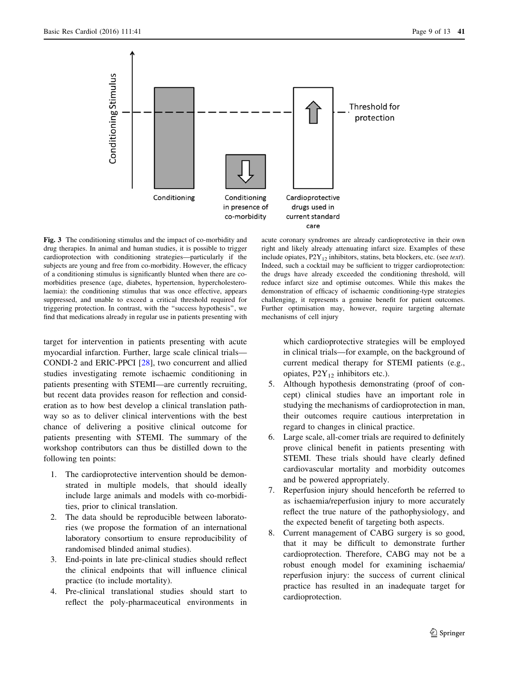<span id="page-8-0"></span>

Fig. 3 The conditioning stimulus and the impact of co-morbidity and drug therapies. In animal and human studies, it is possible to trigger cardioprotection with conditioning strategies—particularly if the subjects are young and free from co-morbidity. However, the efficacy of a conditioning stimulus is significantly blunted when there are comorbidities presence (age, diabetes, hypertension, hypercholesterolaemia): the conditioning stimulus that was once effective, appears suppressed, and unable to exceed a critical threshold required for triggering protection. In contrast, with the ''success hypothesis'', we find that medications already in regular use in patients presenting with

target for intervention in patients presenting with acute myocardial infarction. Further, large scale clinical trials— CONDI-2 and ERIC-PPCI [[28\]](#page-10-0), two concurrent and allied studies investigating remote ischaemic conditioning in patients presenting with STEMI—are currently recruiting, but recent data provides reason for reflection and consideration as to how best develop a clinical translation pathway so as to deliver clinical interventions with the best chance of delivering a positive clinical outcome for patients presenting with STEMI. The summary of the workshop contributors can thus be distilled down to the following ten points:

- 1. The cardioprotective intervention should be demonstrated in multiple models, that should ideally include large animals and models with co-morbidities, prior to clinical translation.
- 2. The data should be reproducible between laboratories (we propose the formation of an international laboratory consortium to ensure reproducibility of randomised blinded animal studies).
- 3. End-points in late pre-clinical studies should reflect the clinical endpoints that will influence clinical practice (to include mortality).
- 4. Pre-clinical translational studies should start to reflect the poly-pharmaceutical environments in

acute coronary syndromes are already cardioprotective in their own right and likely already attenuating infarct size. Examples of these include opiates,  $P2Y_{12}$  inhibitors, statins, beta blockers, etc. (see text). Indeed, such a cocktail may be sufficient to trigger cardioprotection: the drugs have already exceeded the conditioning threshold, will reduce infarct size and optimise outcomes. While this makes the demonstration of efficacy of ischaemic conditioning-type strategies challenging, it represents a genuine benefit for patient outcomes. Further optimisation may, however, require targeting alternate mechanisms of cell injury

which cardioprotective strategies will be employed in clinical trials—for example, on the background of current medical therapy for STEMI patients (e.g., opiates,  $P2Y_{12}$  inhibitors etc.).

- 5. Although hypothesis demonstrating (proof of concept) clinical studies have an important role in studying the mechanisms of cardioprotection in man, their outcomes require cautious interpretation in regard to changes in clinical practice.
- 6. Large scale, all-comer trials are required to definitely prove clinical benefit in patients presenting with STEMI. These trials should have clearly defined cardiovascular mortality and morbidity outcomes and be powered appropriately.
- 7. Reperfusion injury should henceforth be referred to as ischaemia/reperfusion injury to more accurately reflect the true nature of the pathophysiology, and the expected benefit of targeting both aspects.
- 8. Current management of CABG surgery is so good, that it may be difficult to demonstrate further cardioprotection. Therefore, CABG may not be a robust enough model for examining ischaemia/ reperfusion injury: the success of current clinical practice has resulted in an inadequate target for cardioprotection.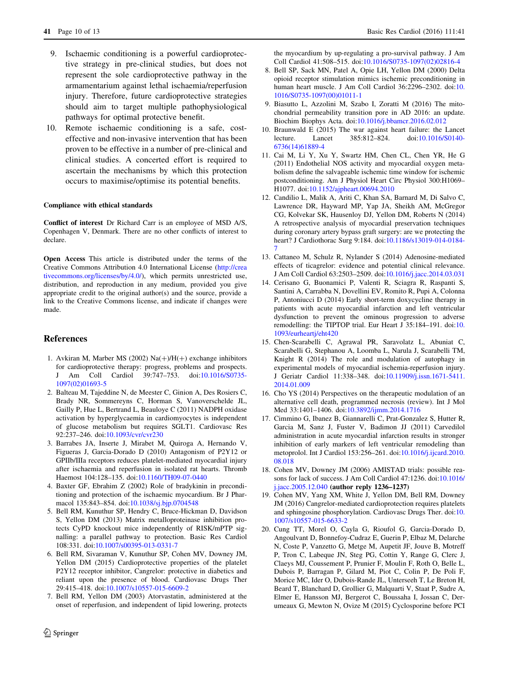- <span id="page-9-0"></span>9. Ischaemic conditioning is a powerful cardioprotective strategy in pre-clinical studies, but does not represent the sole cardioprotective pathway in the armamentarium against lethal ischaemia/reperfusion injury. Therefore, future cardioprotective strategies should aim to target multiple pathophysiological pathways for optimal protective benefit.
- 10. Remote ischaemic conditioning is a safe, costeffective and non-invasive intervention that has been proven to be effective in a number of pre-clinical and clinical studies. A concerted effort is required to ascertain the mechanisms by which this protection occurs to maximise/optimise its potential benefits.

#### Compliance with ethical standards

Conflict of interest Dr Richard Carr is an employee of MSD A/S, Copenhagen V, Denmark. There are no other conflicts of interest to declare.

Open Access This article is distributed under the terms of the Creative Commons Attribution 4.0 International License ([http://crea](http://creativecommons.org/licenses/by/4.0/) [tivecommons.org/licenses/by/4.0/\)](http://creativecommons.org/licenses/by/4.0/), which permits unrestricted use, distribution, and reproduction in any medium, provided you give appropriate credit to the original author(s) and the source, provide a link to the Creative Commons license, and indicate if changes were made.

# References

- 1. Avkiran M, Marber MS (2002) Na( $+$ )/H( $+$ ) exchange inhibitors for cardioprotective therapy: progress, problems and prospects. J Am Coll Cardiol 39:747–753. doi:[10.1016/S0735-](http://dx.doi.org/10.1016/S0735-1097(02)01693-5) [1097\(02\)01693-5](http://dx.doi.org/10.1016/S0735-1097(02)01693-5)
- 2. Balteau M, Tajeddine N, de Meester C, Ginion A, Des Rosiers C, Brady NR, Sommereyns C, Horman S, Vanoverschelde JL, Gailly P, Hue L, Bertrand L, Beauloye C (2011) NADPH oxidase activation by hyperglycaemia in cardiomyocytes is independent of glucose metabolism but requires SGLT1. Cardiovasc Res 92:237–246. doi[:10.1093/cvr/cvr230](http://dx.doi.org/10.1093/cvr/cvr230)
- 3. Barrabes JA, Inserte J, Mirabet M, Quiroga A, Hernando V, Figueras J, Garcia-Dorado D (2010) Antagonism of P2Y12 or GPIIb/IIIa receptors reduces platelet-mediated myocardial injury after ischaemia and reperfusion in isolated rat hearts. Thromb Haemost 104:128–135. doi:[10.1160/TH09-07-0440](http://dx.doi.org/10.1160/TH09-07-0440)
- 4. Baxter GF, Ebrahim Z (2002) Role of bradykinin in preconditioning and protection of the ischaemic myocardium. Br J Pharmacol 135:843–854. doi[:10.1038/sj.bjp.0704548](http://dx.doi.org/10.1038/sj.bjp.0704548)
- 5. Bell RM, Kunuthur SP, Hendry C, Bruce-Hickman D, Davidson S, Yellon DM (2013) Matrix metalloproteinase inhibition protects CyPD knockout mice independently of RISK/mPTP signalling: a parallel pathway to protection. Basic Res Cardiol 108:331. doi:[10.1007/s00395-013-0331-7](http://dx.doi.org/10.1007/s00395-013-0331-7)
- 6. Bell RM, Sivaraman V, Kunuthur SP, Cohen MV, Downey JM, Yellon DM (2015) Cardioprotective properties of the platelet P2Y12 receptor inhibitor, Cangrelor: protective in diabetics and reliant upon the presence of blood. Cardiovasc Drugs Ther 29:415–418. doi[:10.1007/s10557-015-6609-2](http://dx.doi.org/10.1007/s10557-015-6609-2)
- 7. Bell RM, Yellon DM (2003) Atorvastatin, administered at the onset of reperfusion, and independent of lipid lowering, protects

the myocardium by up-regulating a pro-survival pathway. J Am Coll Cardiol 41:508–515. doi[:10.1016/S0735-1097\(02\)02816-4](http://dx.doi.org/10.1016/S0735-1097(02)02816-4)

- 8. Bell SP, Sack MN, Patel A, Opie LH, Yellon DM (2000) Delta opioid receptor stimulation mimics ischemic preconditioning in human heart muscle. J Am Coll Cardiol 36:2296–2302. doi:[10.](http://dx.doi.org/10.1016/S0735-1097(00)01011-1) [1016/S0735-1097\(00\)01011-1](http://dx.doi.org/10.1016/S0735-1097(00)01011-1)
- 9. Biasutto L, Azzolini M, Szabo I, Zoratti M (2016) The mitochondrial permeability transition pore in AD 2016: an update. Biochim Biophys Acta. doi[:10.1016/j.bbamcr.2016.02.012](http://dx.doi.org/10.1016/j.bbamcr.2016.02.012)
- 10. Braunwald E (2015) The war against heart failure: the Lancet lecture. Lancet 385:812–824. doi:[10.1016/S0140-](http://dx.doi.org/10.1016/S0140-6736(14)61889-4) [6736\(14\)61889-4](http://dx.doi.org/10.1016/S0140-6736(14)61889-4)
- 11. Cai M, Li Y, Xu Y, Swartz HM, Chen CL, Chen YR, He G (2011) Endothelial NOS activity and myocardial oxygen metabolism define the salvageable ischemic time window for ischemic postconditioning. Am J Physiol Heart Circ Physiol 300:H1069– H1077. doi:[10.1152/ajpheart.00694.2010](http://dx.doi.org/10.1152/ajpheart.00694.2010)
- 12. Candilio L, Malik A, Ariti C, Khan SA, Barnard M, Di Salvo C, Lawrence DR, Hayward MP, Yap JA, Sheikh AM, McGregor CG, Kolvekar SK, Hausenloy DJ, Yellon DM, Roberts N (2014) A retrospective analysis of myocardial preservation techniques during coronary artery bypass graft surgery: are we protecting the heart? J Cardiothorac Surg 9:184. doi:[10.1186/s13019-014-0184-](http://dx.doi.org/10.1186/s13019-014-0184-7) [7](http://dx.doi.org/10.1186/s13019-014-0184-7)
- 13. Cattaneo M, Schulz R, Nylander S (2014) Adenosine-mediated effects of ticagrelor: evidence and potential clinical relevance. J Am Coll Cardiol 63:2503–2509. doi:[10.1016/j.jacc.2014.03.031](http://dx.doi.org/10.1016/j.jacc.2014.03.031)
- 14. Cerisano G, Buonamici P, Valenti R, Sciagra R, Raspanti S, Santini A, Carrabba N, Dovellini EV, Romito R, Pupi A, Colonna P, Antoniucci D (2014) Early short-term doxycycline therapy in patients with acute myocardial infarction and left ventricular dysfunction to prevent the ominous progression to adverse remodelling: the TIPTOP trial. Eur Heart J 35:184–191. doi:[10.](http://dx.doi.org/10.1093/eurheartj/eht420) [1093/eurheartj/eht420](http://dx.doi.org/10.1093/eurheartj/eht420)
- 15. Chen-Scarabelli C, Agrawal PR, Saravolatz L, Abuniat C, Scarabelli G, Stephanou A, Loomba L, Narula J, Scarabelli TM, Knight R (2014) The role and modulation of autophagy in experimental models of myocardial ischemia-reperfusion injury. J Geriatr Cardiol 11:338–348. doi:[10.11909/j.issn.1671-5411.](http://dx.doi.org/10.11909/j.issn.1671-5411.2014.01.009) [2014.01.009](http://dx.doi.org/10.11909/j.issn.1671-5411.2014.01.009)
- 16. Cho YS (2014) Perspectives on the therapeutic modulation of an alternative cell death, programmed necrosis (review). Int J Mol Med 33:1401–1406. doi[:10.3892/ijmm.2014.1716](http://dx.doi.org/10.3892/ijmm.2014.1716)
- 17. Cimmino G, Ibanez B, Giannarelli C, Prat-Gonzalez S, Hutter R, Garcia M, Sanz J, Fuster V, Badimon JJ (2011) Carvedilol administration in acute myocardial infarction results in stronger inhibition of early markers of left ventricular remodeling than metoprolol. Int J Cardiol 153:256–261. doi[:10.1016/j.ijcard.2010.](http://dx.doi.org/10.1016/j.ijcard.2010.08.018) [08.018](http://dx.doi.org/10.1016/j.ijcard.2010.08.018)
- 18. Cohen MV, Downey JM (2006) AMISTAD trials: possible reasons for lack of success. J Am Coll Cardiol 47:1236. doi[:10.1016/](http://dx.doi.org/10.1016/j.jacc.2005.12.040) [j.jacc.2005.12.040](http://dx.doi.org/10.1016/j.jacc.2005.12.040) (author reply 1236–1237)
- 19. Cohen MV, Yang XM, White J, Yellon DM, Bell RM, Downey JM (2016) Cangrelor-mediated cardioprotection requires platelets and sphingosine phosphorylation. Cardiovasc Drugs Ther. doi:[10.](http://dx.doi.org/10.1007/s10557-015-6633-2) [1007/s10557-015-6633-2](http://dx.doi.org/10.1007/s10557-015-6633-2)
- 20. Cung TT, Morel O, Cayla G, Rioufol G, Garcia-Dorado D, Angoulvant D, Bonnefoy-Cudraz E, Guerin P, Elbaz M, Delarche N, Coste P, Vanzetto G, Metge M, Aupetit JF, Jouve B, Motreff P, Tron C, Labeque JN, Steg PG, Cottin Y, Range G, Clerc J, Claeys MJ, Coussement P, Prunier F, Moulin F, Roth O, Belle L, Dubois P, Barragan P, Gilard M, Piot C, Colin P, De Poli F, Morice MC, Ider O, Dubois-Rande JL, Unterseeh T, Le Breton H, Beard T, Blanchard D, Grollier G, Malquarti V, Staat P, Sudre A, Elmer E, Hansson MJ, Bergerot C, Boussaha I, Jossan C, Derumeaux G, Mewton N, Ovize M (2015) Cyclosporine before PCI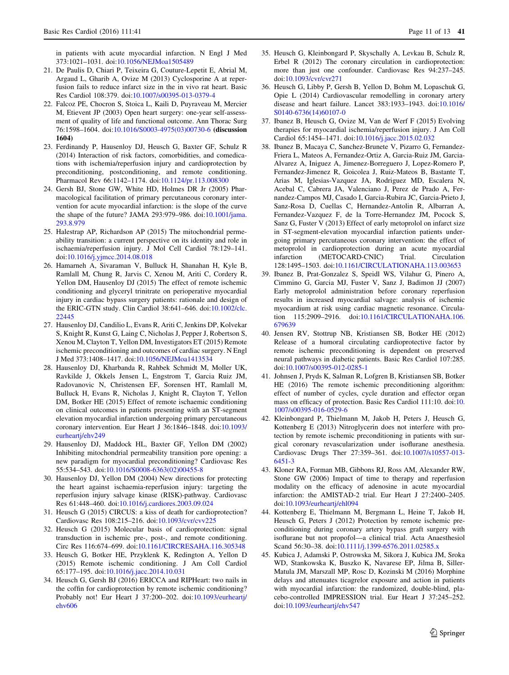<span id="page-10-0"></span>in patients with acute myocardial infarction. N Engl J Med 373:1021–1031. doi:[10.1056/NEJMoa1505489](http://dx.doi.org/10.1056/NEJMoa1505489)

- 21. De Paulis D, Chiari P, Teixeira G, Couture-Lepetit E, Abrial M, Argaud L, Gharib A, Ovize M (2013) Cyclosporine A at reperfusion fails to reduce infarct size in the in vivo rat heart. Basic Res Cardiol 108:379. doi[:10.1007/s00395-013-0379-4](http://dx.doi.org/10.1007/s00395-013-0379-4)
- 22. Falcoz PE, Chocron S, Stoica L, Kaili D, Puyraveau M, Mercier M, Etievent JP (2003) Open heart surgery: one-year self-assessment of quality of life and functional outcome. Ann Thorac Surg 76:1598–1604. doi:[10.1016/S0003-4975\(03\)00730-6](http://dx.doi.org/10.1016/S0003-4975(03)00730-6) (discussion 1604)
- 23. Ferdinandy P, Hausenloy DJ, Heusch G, Baxter GF, Schulz R (2014) Interaction of risk factors, comorbidities, and comedications with ischemia/reperfusion injury and cardioprotection by preconditioning, postconditioning, and remote conditioning. Pharmacol Rev 66:1142–1174. doi[:10.1124/pr.113.008300](http://dx.doi.org/10.1124/pr.113.008300)
- 24. Gersh BJ, Stone GW, White HD, Holmes DR Jr (2005) Pharmacological facilitation of primary percutaneous coronary intervention for acute myocardial infarction: is the slope of the curve the shape of the future? JAMA 293:979–986. doi:[10.1001/jama.](http://dx.doi.org/10.1001/jama.293.8.979) [293.8.979](http://dx.doi.org/10.1001/jama.293.8.979)
- 25. Halestrap AP, Richardson AP (2015) The mitochondrial permeability transition: a current perspective on its identity and role in ischaemia/reperfusion injury. J Mol Cell Cardiol 78:129–141. doi:[10.1016/j.yjmcc.2014.08.018](http://dx.doi.org/10.1016/j.yjmcc.2014.08.018)
- 26. Hamarneh A, Sivaraman V, Bulluck H, Shanahan H, Kyle B, Ramlall M, Chung R, Jarvis C, Xenou M, Ariti C, Cordery R, Yellon DM, Hausenloy DJ (2015) The effect of remote ischemic conditioning and glyceryl trinitrate on perioperative myocardial injury in cardiac bypass surgery patients: rationale and design of the ERIC-GTN study. Clin Cardiol 38:641–646. doi[:10.1002/clc.](http://dx.doi.org/10.1002/clc.22445) [22445](http://dx.doi.org/10.1002/clc.22445)
- 27. Hausenloy DJ, Candilio L, Evans R, Ariti C, Jenkins DP, Kolvekar S, Knight R, Kunst G, Laing C, Nicholas J, Pepper J, Robertson S, Xenou M, Clayton T, Yellon DM, Investigators ET (2015) Remote ischemic preconditioning and outcomes of cardiac surgery. N Engl J Med 373:1408–1417. doi[:10.1056/NEJMoa1413534](http://dx.doi.org/10.1056/NEJMoa1413534)
- 28. Hausenloy DJ, Kharbanda R, Rahbek Schmidt M, Moller UK, Ravkilde J, Okkels Jensen L, Engstrom T, Garcia Ruiz JM, Radovanovic N, Christensen EF, Sorensen HT, Ramlall M, Bulluck H, Evans R, Nicholas J, Knight R, Clayton T, Yellon DM, Botker HE (2015) Effect of remote ischaemic conditioning on clinical outcomes in patients presenting with an ST-segment elevation myocardial infarction undergoing primary percutaneous coronary intervention. Eur Heart J 36:1846–1848. doi[:10.1093/](http://dx.doi.org/10.1093/eurheartj/ehv249) eurhearti/ehv249
- 29. Hausenloy DJ, Maddock HL, Baxter GF, Yellon DM (2002) Inhibiting mitochondrial permeability transition pore opening: a new paradigm for myocardial preconditioning? Cardiovasc Res 55:534–543. doi[:10.1016/S0008-6363\(02\)00455-8](http://dx.doi.org/10.1016/S0008-6363(02)00455-8)
- 30. Hausenloy DJ, Yellon DM (2004) New directions for protecting the heart against ischaemia-reperfusion injury: targeting the reperfusion injury salvage kinase (RISK)-pathway. Cardiovasc Res 61:448–460. doi:[10.1016/j.cardiores.2003.09.024](http://dx.doi.org/10.1016/j.cardiores.2003.09.024)
- 31. Heusch G (2015) CIRCUS: a kiss of death for cardioprotection? Cardiovasc Res 108:215–216. doi[:10.1093/cvr/cvv225](http://dx.doi.org/10.1093/cvr/cvv225)
- 32. Heusch G (2015) Molecular basis of cardioprotection: signal transduction in ischemic pre-, post-, and remote conditioning. Circ Res 116:674–699. doi:[10.1161/CIRCRESAHA.116.305348](http://dx.doi.org/10.1161/CIRCRESAHA.116.305348)
- 33. Heusch G, Botker HE, Przyklenk K, Redington A, Yellon D (2015) Remote ischemic conditioning. J Am Coll Cardiol 65:177–195. doi[:10.1016/j.jacc.2014.10.031](http://dx.doi.org/10.1016/j.jacc.2014.10.031)
- 34. Heusch G, Gersh BJ (2016) ERICCA and RIPHeart: two nails in the coffin for cardioprotection by remote ischemic conditioning? Probably not! Eur Heart J 37:200–202. doi:[10.1093/eurheartj/](http://dx.doi.org/10.1093/eurheartj/ehv606) [ehv606](http://dx.doi.org/10.1093/eurheartj/ehv606)
- 35. Heusch G, Kleinbongard P, Skyschally A, Levkau B, Schulz R, Erbel R (2012) The coronary circulation in cardioprotection: more than just one confounder. Cardiovasc Res 94:237–245. doi:[10.1093/cvr/cvr271](http://dx.doi.org/10.1093/cvr/cvr271)
- 36. Heusch G, Libby P, Gersh B, Yellon D, Bohm M, Lopaschuk G, Opie L (2014) Cardiovascular remodelling in coronary artery disease and heart failure. Lancet 383:1933–1943. doi[:10.1016/](http://dx.doi.org/10.1016/S0140-6736(14)60107-0) [S0140-6736\(14\)60107-0](http://dx.doi.org/10.1016/S0140-6736(14)60107-0)
- 37. Ibanez B, Heusch G, Ovize M, Van de Werf F (2015) Evolving therapies for myocardial ischemia/reperfusion injury. J Am Coll Cardiol 65:1454–1471. doi[:10.1016/j.jacc.2015.02.032](http://dx.doi.org/10.1016/j.jacc.2015.02.032)
- 38. Ibanez B, Macaya C, Sanchez-Brunete V, Pizarro G, Fernandez-Friera L, Mateos A, Fernandez-Ortiz A, Garcia-Ruiz JM, Garcia-Alvarez A, Iniguez A, Jimenez-Borreguero J, Lopez-Romero P, Fernandez-Jimenez R, Goicolea J, Ruiz-Mateos B, Bastante T, Arias M, Iglesias-Vazquez JA, Rodriguez MD, Escalera N, Acebal C, Cabrera JA, Valenciano J, Perez de Prado A, Fernandez-Campos MJ, Casado I, Garcia-Rubira JC, Garcia-Prieto J, Sanz-Rosa D, Cuellas C, Hernandez-Antolin R, Albarran A, Fernandez-Vazquez F, de la Torre-Hernandez JM, Pocock S, Sanz G, Fuster V (2013) Effect of early metoprolol on infarct size in ST-segment-elevation myocardial infarction patients undergoing primary percutaneous coronary intervention: the effect of metoprolol in cardioprotection during an acute myocardial infarction (METOCARD-CNIC) Trial. Circulation 128:1495–1503. doi[:10.1161/CIRCULATIONAHA.113.003653](http://dx.doi.org/10.1161/CIRCULATIONAHA.113.003653)
- 39. Ibanez B, Prat-Gonzalez S, Speidl WS, Vilahur G, Pinero A, Cimmino G, Garcia MJ, Fuster V, Sanz J, Badimon JJ (2007) Early metoprolol administration before coronary reperfusion results in increased myocardial salvage: analysis of ischemic myocardium at risk using cardiac magnetic resonance. Circulation 115:2909–2916. doi:[10.1161/CIRCULATIONAHA.106.](http://dx.doi.org/10.1161/CIRCULATIONAHA.106.679639) [679639](http://dx.doi.org/10.1161/CIRCULATIONAHA.106.679639)
- 40. Jensen RV, Stottrup NB, Kristiansen SB, Botker HE (2012) Release of a humoral circulating cardioprotective factor by remote ischemic preconditioning is dependent on preserved neural pathways in diabetic patients. Basic Res Cardiol 107:285. doi:[10.1007/s00395-012-0285-1](http://dx.doi.org/10.1007/s00395-012-0285-1)
- 41. Johnsen J, Pryds K, Salman R, Lofgren B, Kristiansen SB, Botker HE (2016) The remote ischemic preconditioning algorithm: effect of number of cycles, cycle duration and effector organ mass on efficacy of protection. Basic Res Cardiol 111:10. doi:[10.](http://dx.doi.org/10.1007/s00395-016-0529-6) [1007/s00395-016-0529-6](http://dx.doi.org/10.1007/s00395-016-0529-6)
- 42. Kleinbongard P, Thielmann M, Jakob H, Peters J, Heusch G, Kottenberg E (2013) Nitroglycerin does not interfere with protection by remote ischemic preconditioning in patients with surgical coronary revascularization under isoflurane anesthesia. Cardiovasc Drugs Ther 27:359–361. doi:[10.1007/s10557-013-](http://dx.doi.org/10.1007/s10557-013-6451-3) [6451-3](http://dx.doi.org/10.1007/s10557-013-6451-3)
- 43. Kloner RA, Forman MB, Gibbons RJ, Ross AM, Alexander RW, Stone GW (2006) Impact of time to therapy and reperfusion modality on the efficacy of adenosine in acute myocardial infarction: the AMISTAD-2 trial. Eur Heart J 27:2400–2405. doi:[10.1093/eurheartj/ehl094](http://dx.doi.org/10.1093/eurheartj/ehl094)
- 44. Kottenberg E, Thielmann M, Bergmann L, Heine T, Jakob H, Heusch G, Peters J (2012) Protection by remote ischemic preconditioning during coronary artery bypass graft surgery with isoflurane but not propofol—a clinical trial. Acta Anaesthesiol Scand 56:30–38. doi[:10.1111/j.1399-6576.2011.02585.x](http://dx.doi.org/10.1111/j.1399-6576.2011.02585.x)
- 45. Kubica J, Adamski P, Ostrowska M, Sikora J, Kubica JM, Sroka WD, Stankowska K, Buszko K, Navarese EP, Jilma B, Siller-Matula JM, Marszall MP, Rosc D, Kozinski M (2016) Morphine delays and attenuates ticagrelor exposure and action in patients with myocardial infarction: the randomized, double-blind, placebo-controlled IMPRESSION trial. Eur Heart J 37:245–252. doi:[10.1093/eurheartj/ehv547](http://dx.doi.org/10.1093/eurheartj/ehv547)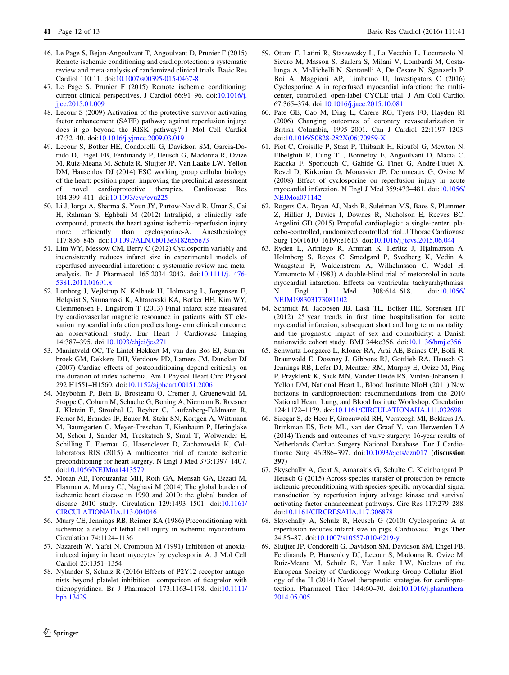- <span id="page-11-0"></span>46. Le Page S, Bejan-Angoulvant T, Angoulvant D, Prunier F (2015) Remote ischemic conditioning and cardioprotection: a systematic review and meta-analysis of randomized clinical trials. Basic Res Cardiol 110:11. doi:[10.1007/s00395-015-0467-8](http://dx.doi.org/10.1007/s00395-015-0467-8)
- 47. Le Page S, Prunier F (2015) Remote ischemic conditioning: current clinical perspectives. J Cardiol 66:91–96. doi:[10.1016/j.](http://dx.doi.org/10.1016/j.jjcc.2015.01.009) [jjcc.2015.01.009](http://dx.doi.org/10.1016/j.jjcc.2015.01.009)
- 48. Lecour S (2009) Activation of the protective survivor activating factor enhancement (SAFE) pathway against reperfusion injury: does it go beyond the RISK pathway? J Mol Cell Cardiol 47:32–40. doi:[10.1016/j.yjmcc.2009.03.019](http://dx.doi.org/10.1016/j.yjmcc.2009.03.019)
- 49. Lecour S, Botker HE, Condorelli G, Davidson SM, Garcia-Dorado D, Engel FB, Ferdinandy P, Heusch G, Madonna R, Ovize M, Ruiz-Meana M, Schulz R, Sluijter JP, Van Laake LW, Yellon DM, Hausenloy DJ (2014) ESC working group cellular biology of the heart: position paper: improving the preclinical assessment of novel cardioprotective therapies. Cardiovasc Res 104:399–411. doi:[10.1093/cvr/cvu225](http://dx.doi.org/10.1093/cvr/cvu225)
- 50. Li J, Iorga A, Sharma S, Youn JY, Partow-Navid R, Umar S, Cai H, Rahman S, Eghbali M (2012) Intralipid, a clinically safe compound, protects the heart against ischemia-reperfusion injury more efficiently than cyclosporine-A. Anesthesiology 117:836–846. doi:[10.1097/ALN.0b013e3182655e73](http://dx.doi.org/10.1097/ALN.0b013e3182655e73)
- 51. Lim WY, Messow CM, Berry C (2012) Cyclosporin variably and inconsistently reduces infarct size in experimental models of reperfused myocardial infarction: a systematic review and metaanalysis. Br J Pharmacol 165:2034–2043. doi:[10.1111/j.1476-](http://dx.doi.org/10.1111/j.1476-5381.2011.01691.x) [5381.2011.01691.x](http://dx.doi.org/10.1111/j.1476-5381.2011.01691.x)
- 52. Lonborg J, Vejlstrup N, Kelbaek H, Holmvang L, Jorgensen E, Helqvist S, Saunamaki K, Ahtarovski KA, Botker HE, Kim WY, Clemmensen P, Engstrom T (2013) Final infarct size measured by cardiovascular magnetic resonance in patients with ST elevation myocardial infarction predicts long-term clinical outcome: an observational study. Eur Heart J Cardiovasc Imaging 14:387–395. doi[:10.1093/ehjci/jes271](http://dx.doi.org/10.1093/ehjci/jes271)
- 53. Manintveld OC, Te Lintel Hekkert M, van den Bos EJ, Suurenbroek GM, Dekkers DH, Verdouw PD, Lamers JM, Duncker DJ (2007) Cardiac effects of postconditioning depend critically on the duration of index ischemia. Am J Physiol Heart Circ Physiol 292:H1551–H1560. doi[:10.1152/ajpheart.00151.2006](http://dx.doi.org/10.1152/ajpheart.00151.2006)
- 54. Meybohm P, Bein B, Brosteanu O, Cremer J, Gruenewald M, Stoppe C, Coburn M, Schaelte G, Boning A, Niemann B, Roesner J, Kletzin F, Strouhal U, Reyher C, Laufenberg-Feldmann R, Ferner M, Brandes IF, Bauer M, Stehr SN, Kortgen A, Wittmann M, Baumgarten G, Meyer-Treschan T, Kienbaum P, Heringlake M, Schon J, Sander M, Treskatsch S, Smul T, Wolwender E, Schilling T, Fuernau G, Hasenclever D, Zacharowski K, Collaborators RIS (2015) A multicenter trial of remote ischemic preconditioning for heart surgery. N Engl J Med 373:1397–1407. doi:[10.1056/NEJMoa1413579](http://dx.doi.org/10.1056/NEJMoa1413579)
- 55. Moran AE, Forouzanfar MH, Roth GA, Mensah GA, Ezzati M, Flaxman A, Murray CJ, Naghavi M (2014) The global burden of ischemic heart disease in 1990 and 2010: the global burden of disease 2010 study. Circulation 129:1493–1501. doi[:10.1161/](http://dx.doi.org/10.1161/CIRCULATIONAHA.113.004046) [CIRCULATIONAHA.113.004046](http://dx.doi.org/10.1161/CIRCULATIONAHA.113.004046)
- 56. Murry CE, Jennings RB, Reimer KA (1986) Preconditioning with ischemia: a delay of lethal cell injury in ischemic myocardium. Circulation 74:1124–1136
- 57. Nazareth W, Yafei N, Crompton M (1991) Inhibition of anoxiainduced injury in heart myocytes by cyclosporin A. J Mol Cell Cardiol 23:1351–1354
- 58. Nylander S, Schulz R (2016) Effects of P2Y12 receptor antagonists beyond platelet inhibition—comparison of ticagrelor with thienopyridines. Br J Pharmacol 173:1163–1178. doi[:10.1111/](http://dx.doi.org/10.1111/bph.13429) [bph.13429](http://dx.doi.org/10.1111/bph.13429)
- 59. Ottani F, Latini R, Staszewsky L, La Vecchia L, Locuratolo N, Sicuro M, Masson S, Barlera S, Milani V, Lombardi M, Costalunga A, Mollichelli N, Santarelli A, De Cesare N, Sganzerla P, Boi A, Maggioni AP, Limbruno U, Investigators C (2016) Cyclosporine A in reperfused myocardial infarction: the multicenter, controlled, open-label CYCLE trial. J Am Coll Cardiol 67:365–374. doi[:10.1016/j.jacc.2015.10.081](http://dx.doi.org/10.1016/j.jacc.2015.10.081)
- 60. Pate GE, Gao M, Ding L, Carere RG, Tyers FO, Hayden RI (2006) Changing outcomes of coronary revascularization in British Columbia, 1995–2001. Can J Cardiol 22:1197–1203. doi:[10.1016/S0828-282X\(06\)70959-X](http://dx.doi.org/10.1016/S0828-282X(06)70959-X)
- 61. Piot C, Croisille P, Staat P, Thibault H, Rioufol G, Mewton N, Elbelghiti R, Cung TT, Bonnefoy E, Angoulvant D, Macia C, Raczka F, Sportouch C, Gahide G, Finet G, Andre-Fouet X, Revel D, Kirkorian G, Monassier JP, Derumeaux G, Ovize M (2008) Effect of cyclosporine on reperfusion injury in acute myocardial infarction. N Engl J Med 359:473–481. doi[:10.1056/](http://dx.doi.org/10.1056/NEJMoa071142) [NEJMoa071142](http://dx.doi.org/10.1056/NEJMoa071142)
- 62. Rogers CA, Bryan AJ, Nash R, Suleiman MS, Baos S, Plummer Z, Hillier J, Davies I, Downes R, Nicholson E, Reeves BC, Angelini GD (2015) Propofol cardioplegia: a single-center, placebo-controlled, randomized controlled trial. J Thorac Cardiovasc Surg 150(1610–1619):e1613. doi[:10.1016/j.jtcvs.2015.06.044](http://dx.doi.org/10.1016/j.jtcvs.2015.06.044)
- 63. Ryden L, Ariniego R, Arnman K, Herlitz J, Hjalmarson A, Holmberg S, Reyes C, Smedgard P, Svedberg K, Vedin A, Waagstein F, Waldenstrom A, Wilhelmsson C, Wedel H, Yamamoto M (1983) A double-blind trial of metoprolol in acute myocardial infarction. Effects on ventricular tachyarrhythmias. N Engl J Med 308:614–618. doi[:10.1056/](http://dx.doi.org/10.1056/NEJM198303173081102) [NEJM198303173081102](http://dx.doi.org/10.1056/NEJM198303173081102)
- 64. Schmidt M, Jacobsen JB, Lash TL, Botker HE, Sorensen HT (2012) 25 year trends in first time hospitalisation for acute myocardial infarction, subsequent short and long term mortality, and the prognostic impact of sex and comorbidity: a Danish nationwide cohort study. BMJ 344:e356. doi[:10.1136/bmj.e356](http://dx.doi.org/10.1136/bmj.e356)
- 65. Schwartz Longacre L, Kloner RA, Arai AE, Baines CP, Bolli R, Braunwald E, Downey J, Gibbons RJ, Gottlieb RA, Heusch G, Jennings RB, Lefer DJ, Mentzer RM, Murphy E, Ovize M, Ping P, Przyklenk K, Sack MN, Vander Heide RS, Vinten-Johansen J, Yellon DM, National Heart L, Blood Institute NIoH (2011) New horizons in cardioprotection: recommendations from the 2010 National Heart, Lung, and Blood Institute Workshop. Circulation 124:1172–1179. doi[:10.1161/CIRCULATIONAHA.111.032698](http://dx.doi.org/10.1161/CIRCULATIONAHA.111.032698)
- 66. Siregar S, de Heer F, Groenwold RH, Versteegh MI, Bekkers JA, Brinkman ES, Bots ML, van der Graaf Y, van Herwerden LA (2014) Trends and outcomes of valve surgery: 16-year results of Netherlands Cardiac Surgery National Database. Eur J Cardiothorac Surg 46:386–397. doi:[10.1093/ejcts/ezu017](http://dx.doi.org/10.1093/ejcts/ezu017) (discussion 397)
- 67. Skyschally A, Gent S, Amanakis G, Schulte C, Kleinbongard P, Heusch G (2015) Across-species transfer of protection by remote ischemic preconditioning with species-specific myocardial signal transduction by reperfusion injury salvage kinase and survival activating factor enhancement pathways. Circ Res 117:279–288. doi:[10.1161/CIRCRESAHA.117.306878](http://dx.doi.org/10.1161/CIRCRESAHA.117.306878)
- 68. Skyschally A, Schulz R, Heusch G (2010) Cyclosporine A at reperfusion reduces infarct size in pigs. Cardiovasc Drugs Ther 24:85–87. doi:[10.1007/s10557-010-6219-y](http://dx.doi.org/10.1007/s10557-010-6219-y)
- 69. Sluijter JP, Condorelli G, Davidson SM, Davidson SM, Engel FB, Ferdinandy P, Hausenloy DJ, Lecour S, Madonna R, Ovize M, Ruiz-Meana M, Schulz R, Van Laake LW, Nucleus of the European Society of Cardiology Working Group Cellular Biology of the H (2014) Novel therapeutic strategies for cardioprotection. Pharmacol Ther 144:60–70. doi:[10.1016/j.pharmthera.](http://dx.doi.org/10.1016/j.pharmthera.2014.05.005) [2014.05.005](http://dx.doi.org/10.1016/j.pharmthera.2014.05.005)